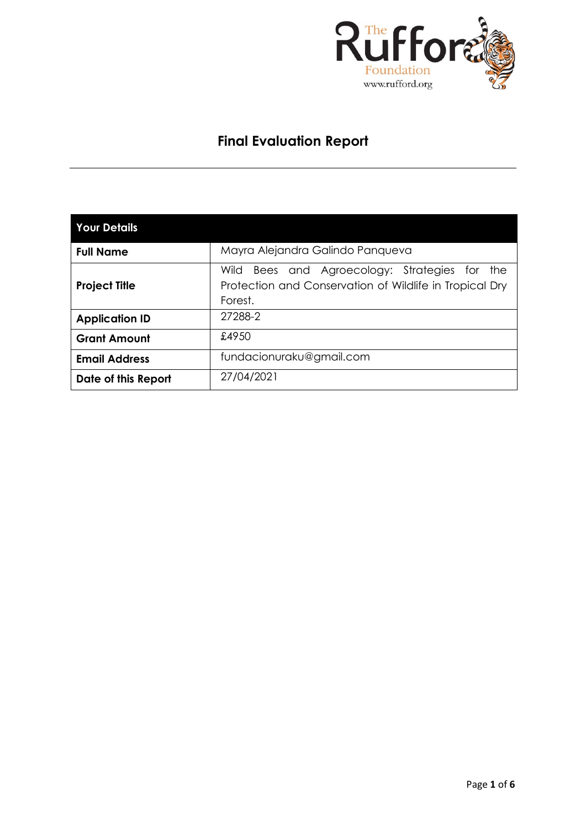

# **Final Evaluation Report**

| <b>Your Details</b>   |                                                                                                                              |  |  |  |  |  |  |
|-----------------------|------------------------------------------------------------------------------------------------------------------------------|--|--|--|--|--|--|
| <b>Full Name</b>      | Mayra Alejandra Galindo Panqueva                                                                                             |  |  |  |  |  |  |
| <b>Project Title</b>  | and Agroecology: Strategies for<br>Wild<br>Bees<br>the<br>Protection and Conservation of Wildlife in Tropical Dry<br>Forest. |  |  |  |  |  |  |
| <b>Application ID</b> | 27288-2                                                                                                                      |  |  |  |  |  |  |
| <b>Grant Amount</b>   | £4950                                                                                                                        |  |  |  |  |  |  |
| <b>Email Address</b>  | fundacionuraku@gmail.com                                                                                                     |  |  |  |  |  |  |
| Date of this Report   | 27/04/2021                                                                                                                   |  |  |  |  |  |  |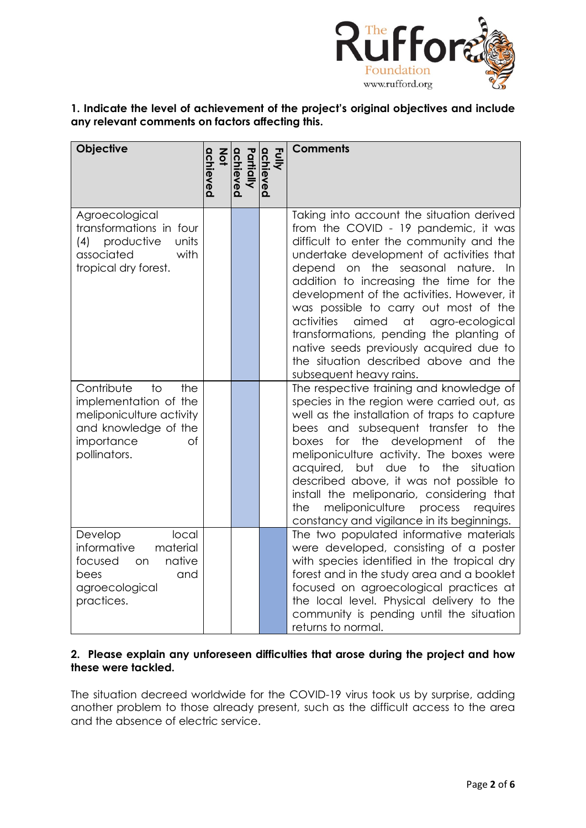

# **1. Indicate the level of achievement of the project's original objectives and include any relevant comments on factors affecting this.**

| Objective                                                                                                                                            | achieved<br>$rac{2}{9}$ | Partially<br>achieved | Fully<br>achieved | <b>Comments</b>                                                                                                                                                                                                                                                                                                                                                                                                                                                                                                                                                   |
|------------------------------------------------------------------------------------------------------------------------------------------------------|-------------------------|-----------------------|-------------------|-------------------------------------------------------------------------------------------------------------------------------------------------------------------------------------------------------------------------------------------------------------------------------------------------------------------------------------------------------------------------------------------------------------------------------------------------------------------------------------------------------------------------------------------------------------------|
| Agroecological<br>transformations in four<br>productive<br>units<br>(4)<br>associated<br>with<br>tropical dry forest.                                |                         |                       |                   | Taking into account the situation derived<br>from the COVID - 19 pandemic, it was<br>difficult to enter the community and the<br>undertake development of activities that<br>depend<br>on the<br>seasonal nature. In<br>addition to increasing the time for the<br>development of the activities. However, it<br>was possible to carry out most of the<br>activities<br>aimed<br>at<br>agro-ecological<br>transformations, pending the planting of<br>native seeds previously acquired due to<br>the situation described above and the<br>subsequent heavy rains. |
| Contribute<br>$\overline{1}$<br>the<br>implementation of the<br>meliponiculture activity<br>and knowledge of the<br>importance<br>of<br>pollinators. |                         |                       |                   | The respective training and knowledge of<br>species in the region were carried out, as<br>well as the installation of traps to capture<br>bees and subsequent transfer to the<br>development<br>boxes<br>for<br>the<br>of<br>the<br>meliponiculture activity. The boxes were<br>but due to<br>acquired,<br>the<br>situation<br>described above, it was not possible to<br>install the meliponario, considering that<br>meliponiculture<br>process<br>the<br>requires<br>constancy and vigilance in its beginnings.                                                |
| local<br>Develop<br>material<br>informative<br>native<br>focused<br>on<br>bees<br>and<br>agroecological<br>practices.                                |                         |                       |                   | The two populated informative materials<br>were developed, consisting of a poster<br>with species identified in the tropical dry<br>forest and in the study area and a booklet<br>focused on agroecological practices at<br>the local level. Physical delivery to the<br>community is pending until the situation<br>returns to normal.                                                                                                                                                                                                                           |

# **2. Please explain any unforeseen difficulties that arose during the project and how these were tackled.**

The situation decreed worldwide for the COVID-19 virus took us by surprise, adding another problem to those already present, such as the difficult access to the area and the absence of electric service.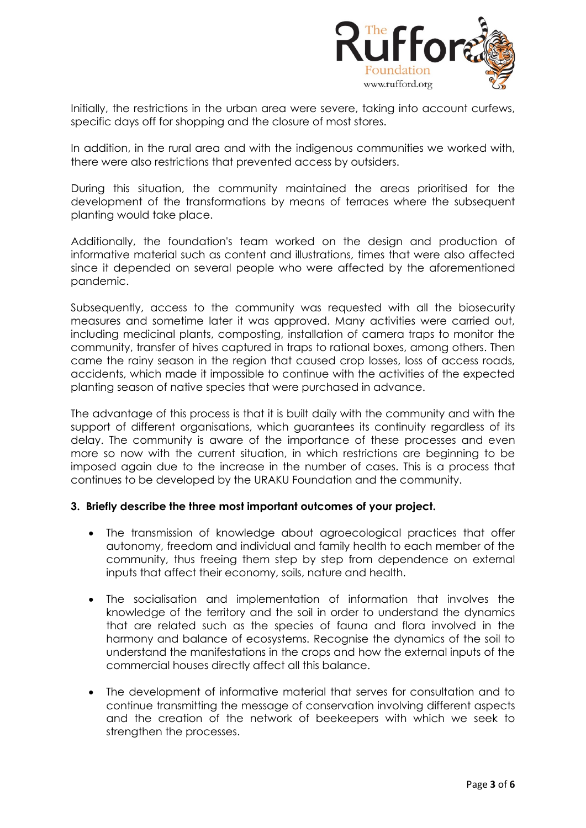

Initially, the restrictions in the urban area were severe, taking into account curfews, specific days off for shopping and the closure of most stores.

In addition, in the rural area and with the indigenous communities we worked with, there were also restrictions that prevented access by outsiders.

During this situation, the community maintained the areas prioritised for the development of the transformations by means of terraces where the subsequent planting would take place.

Additionally, the foundation's team worked on the design and production of informative material such as content and illustrations, times that were also affected since it depended on several people who were affected by the aforementioned pandemic.

Subsequently, access to the community was requested with all the biosecurity measures and sometime later it was approved. Many activities were carried out, including medicinal plants, composting, installation of camera traps to monitor the community, transfer of hives captured in traps to rational boxes, among others. Then came the rainy season in the region that caused crop losses, loss of access roads, accidents, which made it impossible to continue with the activities of the expected planting season of native species that were purchased in advance.

The advantage of this process is that it is built daily with the community and with the support of different organisations, which guarantees its continuity regardless of its delay. The community is aware of the importance of these processes and even more so now with the current situation, in which restrictions are beginning to be imposed again due to the increase in the number of cases. This is a process that continues to be developed by the URAKU Foundation and the community.

### **3. Briefly describe the three most important outcomes of your project.**

- The transmission of knowledge about agroecological practices that offer autonomy, freedom and individual and family health to each member of the community, thus freeing them step by step from dependence on external inputs that affect their economy, soils, nature and health.
- The socialisation and implementation of information that involves the knowledge of the territory and the soil in order to understand the dynamics that are related such as the species of fauna and flora involved in the harmony and balance of ecosystems. Recognise the dynamics of the soil to understand the manifestations in the crops and how the external inputs of the commercial houses directly affect all this balance.
- The development of informative material that serves for consultation and to continue transmitting the message of conservation involving different aspects and the creation of the network of beekeepers with which we seek to strengthen the processes.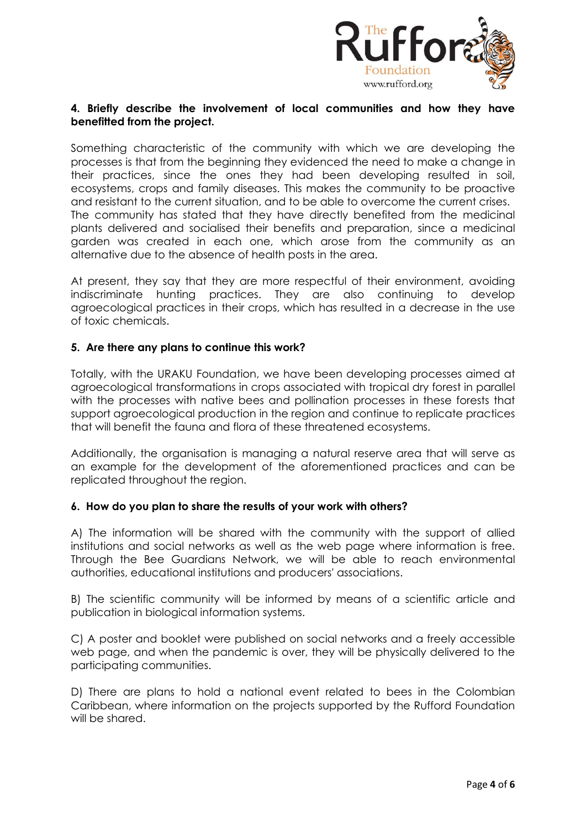

# **4. Briefly describe the involvement of local communities and how they have benefitted from the project.**

Something characteristic of the community with which we are developing the processes is that from the beginning they evidenced the need to make a change in their practices, since the ones they had been developing resulted in soil, ecosystems, crops and family diseases. This makes the community to be proactive and resistant to the current situation, and to be able to overcome the current crises. The community has stated that they have directly benefited from the medicinal plants delivered and socialised their benefits and preparation, since a medicinal garden was created in each one, which arose from the community as an alternative due to the absence of health posts in the area.

At present, they say that they are more respectful of their environment, avoiding indiscriminate hunting practices. They are also continuing to develop agroecological practices in their crops, which has resulted in a decrease in the use of toxic chemicals.

### **5. Are there any plans to continue this work?**

Totally, with the URAKU Foundation, we have been developing processes aimed at agroecological transformations in crops associated with tropical dry forest in parallel with the processes with native bees and pollination processes in these forests that support agroecological production in the region and continue to replicate practices that will benefit the fauna and flora of these threatened ecosystems.

Additionally, the organisation is managing a natural reserve area that will serve as an example for the development of the aforementioned practices and can be replicated throughout the region.

### **6. How do you plan to share the results of your work with others?**

A) The information will be shared with the community with the support of allied institutions and social networks as well as the web page where information is free. Through the Bee Guardians Network, we will be able to reach environmental authorities, educational institutions and producers' associations.

B) The scientific community will be informed by means of a scientific article and publication in biological information systems.

C) A poster and booklet were published on social networks and a freely accessible web page, and when the pandemic is over, they will be physically delivered to the participating communities.

D) There are plans to hold a national event related to bees in the Colombian Caribbean, where information on the projects supported by the Rufford Foundation will be shared.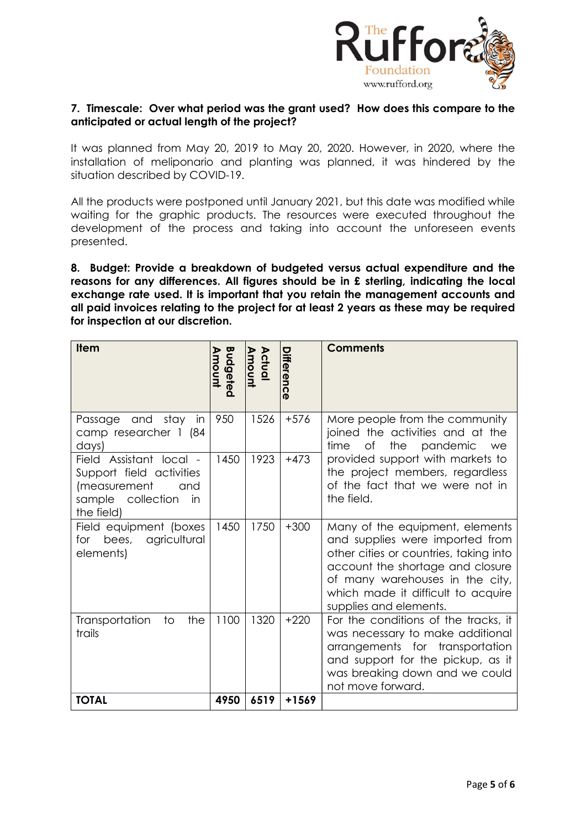

# **7. Timescale: Over what period was the grant used? How does this compare to the anticipated or actual length of the project?**

It was planned from May 20, 2019 to May 20, 2020. However, in 2020, where the installation of meliponario and planting was planned, it was hindered by the situation described by COVID-19.

All the products were postponed until January 2021, but this date was modified while waiting for the graphic products. The resources were executed throughout the development of the process and taking into account the unforeseen events presented.

**8. Budget: Provide a breakdown of budgeted versus actual expenditure and the reasons for any differences. All figures should be in £ sterling, indicating the local exchange rate used. It is important that you retain the management accounts and all paid invoices relating to the project for at least 2 years as these may be required for inspection at our discretion.**

| <b>Item</b>                                                                                                            | Budgeted<br>Amount | Actual<br>Amount | Differenc | <b>Comments</b>                                                                                                                                                                                                                                     |
|------------------------------------------------------------------------------------------------------------------------|--------------------|------------------|-----------|-----------------------------------------------------------------------------------------------------------------------------------------------------------------------------------------------------------------------------------------------------|
| stay<br>and<br>in<br>Passage<br>camp researcher 1 (84<br>days)                                                         | 950                | 1526             | $+576$    | More people from the community<br>joined the activities and at the<br>time<br>Οf<br>the<br>pandemic<br>we                                                                                                                                           |
| Field Assistant local -<br>Support field activities<br>(measurement<br>and<br>sample<br>collection<br>in<br>the field) | 1450               | 1923             | $+473$    | provided support with markets to<br>the project members, regardless<br>of the fact that we were not in<br>the field.                                                                                                                                |
| Field equipment (boxes<br>bees,<br>agricultural<br>for<br>elements)                                                    | 1450               | 1750             | $+300$    | Many of the equipment, elements<br>and supplies were imported from<br>other cities or countries, taking into<br>account the shortage and closure<br>of many warehouses in the city,<br>which made it difficult to acquire<br>supplies and elements. |
| the<br>Transportation<br>to<br>trails                                                                                  | 1100               | 1320             | $+220$    | For the conditions of the tracks, it<br>was necessary to make additional<br>arrangements for transportation<br>and support for the pickup, as it<br>was breaking down and we could<br>not move forward.                                             |
| <b>TOTAL</b>                                                                                                           | 4950               | 6519             | +1569     |                                                                                                                                                                                                                                                     |